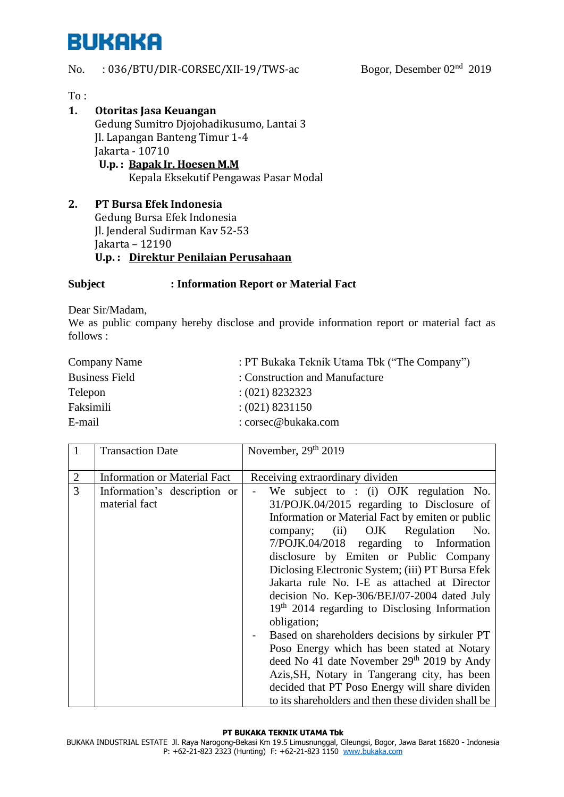## **BUKAKA**

#### No. : 036/BTU/DIR-CORSEC/XII-19/TWS-ac Bogor, Desember 02<sup>nd</sup> 2019

To :

### **1. Otoritas Jasa Keuangan** Gedung Sumitro Djojohadikusumo, Lantai 3 Jl. Lapangan Banteng Timur 1-4 Jakarta - 10710  **U.p. : Bapak Ir. Hoesen M.M** Kepala Eksekutif Pengawas Pasar Modal

**2. PT Bursa Efek Indonesia**  Gedung Bursa Efek Indonesia Jl. Jenderal Sudirman Kav 52-53 Jakarta – 12190 **U.p. : Direktur Penilaian Perusahaan**

### **Subject : Information Report or Material Fact**

Dear Sir/Madam,

We as public company hereby disclose and provide information report or material fact as follows :

| Company Name          | : PT Bukaka Teknik Utama Tbk ("The Company") |
|-----------------------|----------------------------------------------|
| <b>Business Field</b> | : Construction and Manufacture               |
| Telepon               | $(021)$ 8232323                              |
| Faksimili             | $(021)$ 8231150                              |
| E-mail                | : corsec@bukaka.com                          |

|                     | <b>Transaction Date</b>                                                              | November, 29th 2019                                                                                                                                                                                                                                                                                                                                                                                                                                                                                                                   |
|---------------------|--------------------------------------------------------------------------------------|---------------------------------------------------------------------------------------------------------------------------------------------------------------------------------------------------------------------------------------------------------------------------------------------------------------------------------------------------------------------------------------------------------------------------------------------------------------------------------------------------------------------------------------|
| $\overline{2}$<br>3 | <b>Information or Material Fact</b><br>Information's description or<br>material fact | Receiving extraordinary dividen<br>We subject to : (i) OJK regulation No.<br>31/POJK.04/2015 regarding to Disclosure of<br>Information or Material Fact by emiten or public<br>company; (ii) OJK Regulation<br>No.<br>7/POJK.04/2018 regarding to Information<br>disclosure by Emiten or Public Company                                                                                                                                                                                                                               |
|                     |                                                                                      | Diclosing Electronic System; (iii) PT Bursa Efek<br>Jakarta rule No. I-E as attached at Director<br>decision No. Kep-306/BEJ/07-2004 dated July<br>$19th$ 2014 regarding to Disclosing Information<br>obligation;<br>Based on shareholders decisions by sirkuler PT<br>Poso Energy which has been stated at Notary<br>deed No 41 date November 29 <sup>th</sup> 2019 by Andy<br>Azis, SH, Notary in Tangerang city, has been<br>decided that PT Poso Energy will share dividen<br>to its shareholders and then these dividen shall be |